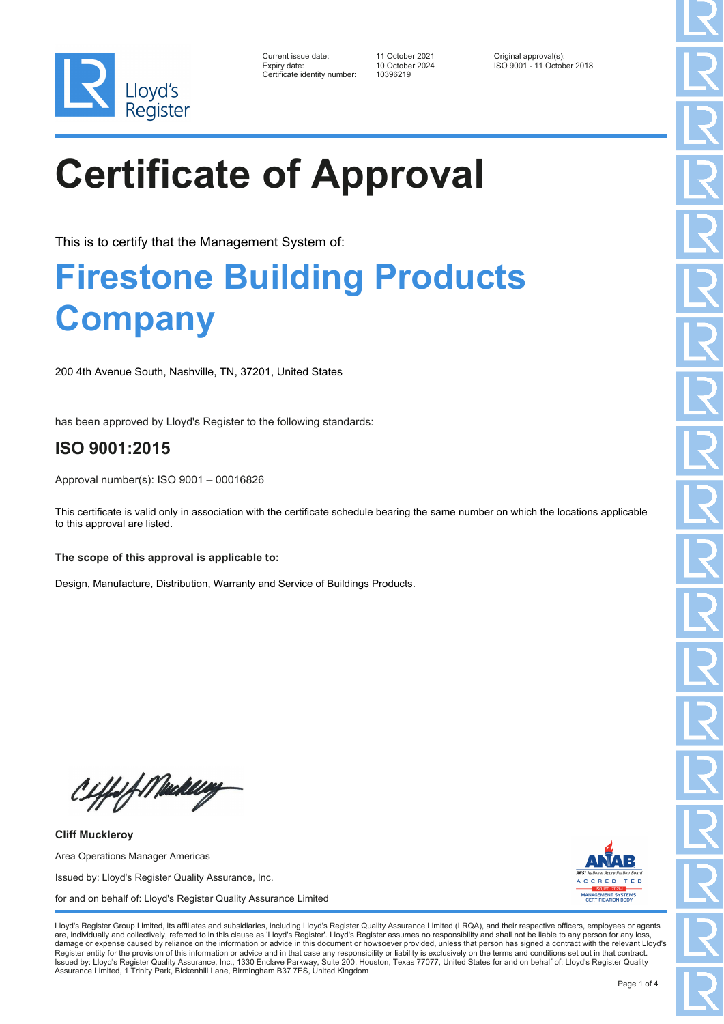

| Current issue date:         |
|-----------------------------|
| Expiry date:                |
| Certificate identity number |

Certificate identity number: 10396219

Current issue date: 11 October 2021 Original approval(s): Expiry date: 10 October 2024 ISO 9001 - 11 October 2018

# **Certificate of Approval**

This is to certify that the Management System of:

### **Firestone Building Products Company**

200 4th Avenue South, Nashville, TN, 37201, United States

has been approved by Lloyd's Register to the following standards:

### **ISO 9001:2015**

Approval number(s): ISO 9001 – 00016826

This certificate is valid only in association with the certificate schedule bearing the same number on which the locations applicable to this approval are listed.

#### **The scope of this approval is applicable to:**

Design, Manufacture, Distribution, Warranty and Service of Buildings Products.

Ciffof Mukling

**Cliff Muckleroy** Area Operations Manager Americas Issued by: Lloyd's Register Quality Assurance, Inc. for and on behalf of: Lloyd's Register Quality Assurance Limited



Lloyd's Register Group Limited, its affiliates and subsidiaries, including Lloyd's Register Quality Assurance Limited (LRQA), and their respective officers, employees or agents are, individually and collectively, referred to in this clause as 'Lloyd's Register'. Lloyd's Register assumes no responsibility and shall not be liable to any person for any los damage or expense caused by reliance on the information or advice in this document or howsoever provided, unless that person has signed a contract with the relevant Lloyd's<br>Register entity for the provision of this informa Issued by: Lloyd's Register Quality Assurance, Inc., 1330 Enclave Parkway, Suite 200, Houston, Texas 77077, United States for and on behalf of: Lloyd's Register Quality Assurance Limited, 1 Trinity Park, Bickenhill Lane, Birmingham B37 7ES, United Kingdom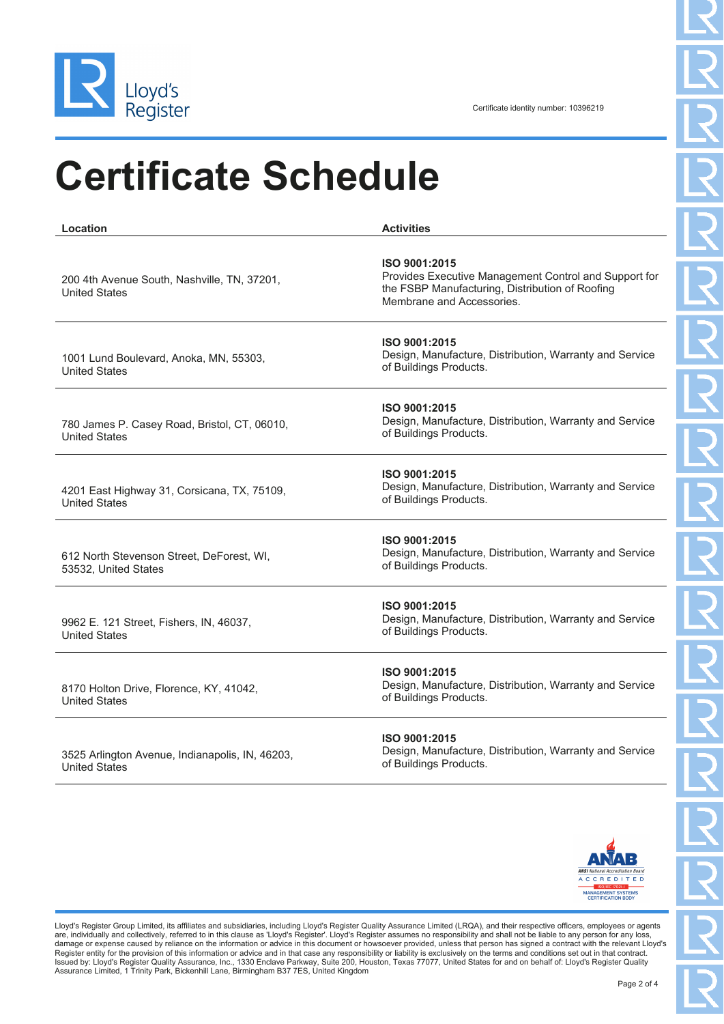

United States

Certificate identity number: 10396219

## **Certificate Schedule**

**Location Activities** 200 4th Avenue South, Nashville, TN, 37201, United States **ISO 9001:2015** Provides Executive Management Control and Support for the FSBP Manufacturing, Distribution of Roofing Membrane and Accessories. 1001 Lund Boulevard, Anoka, MN, 55303, United States **ISO 9001:2015** Design, Manufacture, Distribution, Warranty and Service of Buildings Products. 780 James P. Casey Road, Bristol, CT, 06010, United States **ISO 9001:2015** Design, Manufacture, Distribution, Warranty and Service of Buildings Products. 4201 East Highway 31, Corsicana, TX, 75109, United States **ISO 9001:2015** Design, Manufacture, Distribution, Warranty and Service of Buildings Products. 612 North Stevenson Street, DeForest, WI, 53532, United States **ISO 9001:2015** Design, Manufacture, Distribution, Warranty and Service of Buildings Products. 9962 E. 121 Street, Fishers, IN, 46037, United States **ISO 9001:2015** Design, Manufacture, Distribution, Warranty and Service of Buildings Products. 8170 Holton Drive, Florence, KY, 41042, United States **ISO 9001:2015** Design, Manufacture, Distribution, Warranty and Service of Buildings Products. 3525 Arlington Avenue, Indianapolis, IN, 46203, **ISO 9001:2015** Design, Manufacture, Distribution, Warranty and Service



Lloyd's Register Group Limited, its affiliates and subsidiaries, including Lloyd's Register Quality Assurance Limited (LRQA), and their respective officers, employees or agents are, individually and collectively, referred to in this clause as 'Lloyd's Register'. Lloyd's Register assumes no responsibility and shall not be liable to any person for any los damage or expense caused by reliance on the information or advice in this document or howsoever provided, unless that person has signed a contract with the relevant Lloyd's<br>Register entity for the provision of this informa Issued by: Lloyd's Register Quality Assurance, Inc., 1330 Enclave Parkway, Suite 200, Houston, Texas 77077, United States for and on behalf of: Lloyd's Register Quality Assurance Limited, 1 Trinity Park, Bickenhill Lane, Birmingham B37 7ES, United Kingdom

of Buildings Products.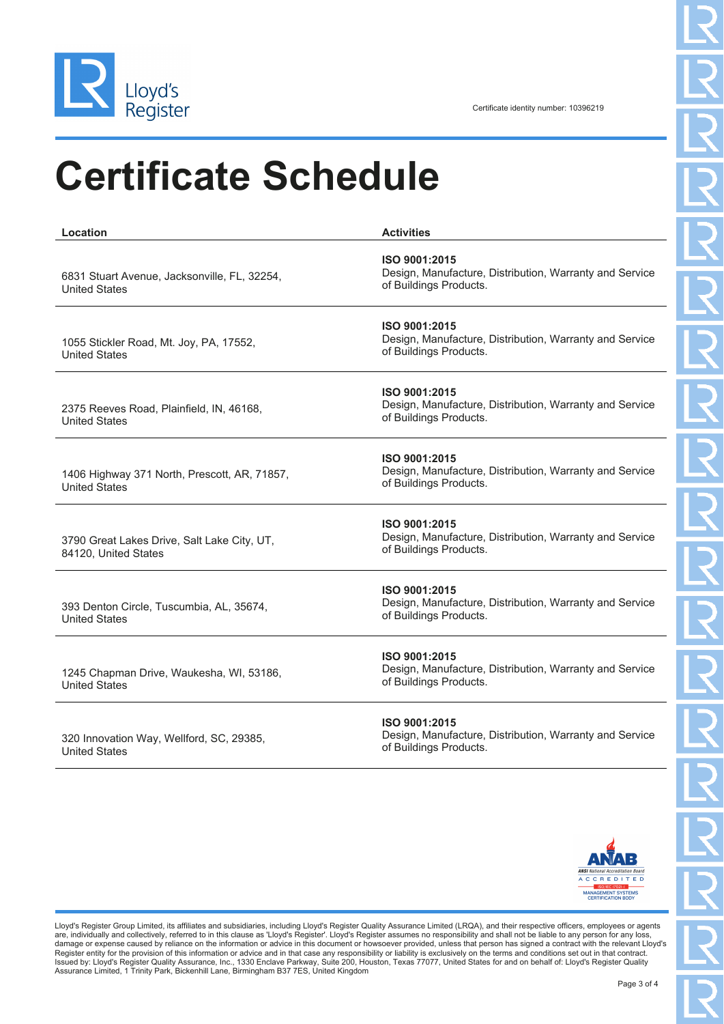

### **Certificate Schedule**

| Location                                                             | <b>Activities</b>                                                                                  |
|----------------------------------------------------------------------|----------------------------------------------------------------------------------------------------|
| 6831 Stuart Avenue, Jacksonville, FL, 32254,<br><b>United States</b> | ISO 9001:2015<br>Design, Manufacture, Distribution, Warranty and Service<br>of Buildings Products. |
| 1055 Stickler Road, Mt. Joy, PA, 17552,<br><b>United States</b>      | ISO 9001:2015<br>Design, Manufacture, Distribution, Warranty and Service<br>of Buildings Products. |
| 2375 Reeves Road, Plainfield, IN, 46168,<br><b>United States</b>     | ISO 9001:2015<br>Design, Manufacture, Distribution, Warranty and Service<br>of Buildings Products. |
| 1406 Highway 371 North, Prescott, AR, 71857,<br><b>United States</b> | ISO 9001:2015<br>Design, Manufacture, Distribution, Warranty and Service<br>of Buildings Products. |
| 3790 Great Lakes Drive, Salt Lake City, UT,<br>84120, United States  | ISO 9001:2015<br>Design, Manufacture, Distribution, Warranty and Service<br>of Buildings Products. |
| 393 Denton Circle, Tuscumbia, AL, 35674,<br><b>United States</b>     | ISO 9001:2015<br>Design, Manufacture, Distribution, Warranty and Service<br>of Buildings Products. |
| 1245 Chapman Drive, Waukesha, WI, 53186,<br><b>United States</b>     | ISO 9001:2015<br>Design, Manufacture, Distribution, Warranty and Service<br>of Buildings Products. |
| 320 Innovation Way, Wellford, SC, 29385,                             | ISO 9001:2015<br>Design, Manufacture, Distribution, Warranty and Service                           |

United States

Design, Manufacture, Distribution, Warranty and Service of Buildings Products.



Lloyd's Register Group Limited, its affiliates and subsidiaries, including Lloyd's Register Quality Assurance Limited (LRQA), and their respective officers, employees or agents are, individually and collectively, referred to in this clause as 'Lloyd's Register'. Lloyd's Register assumes no responsibility and shall not be liable to any person for any loss,<br>Ramage or expense caused by reliance on t